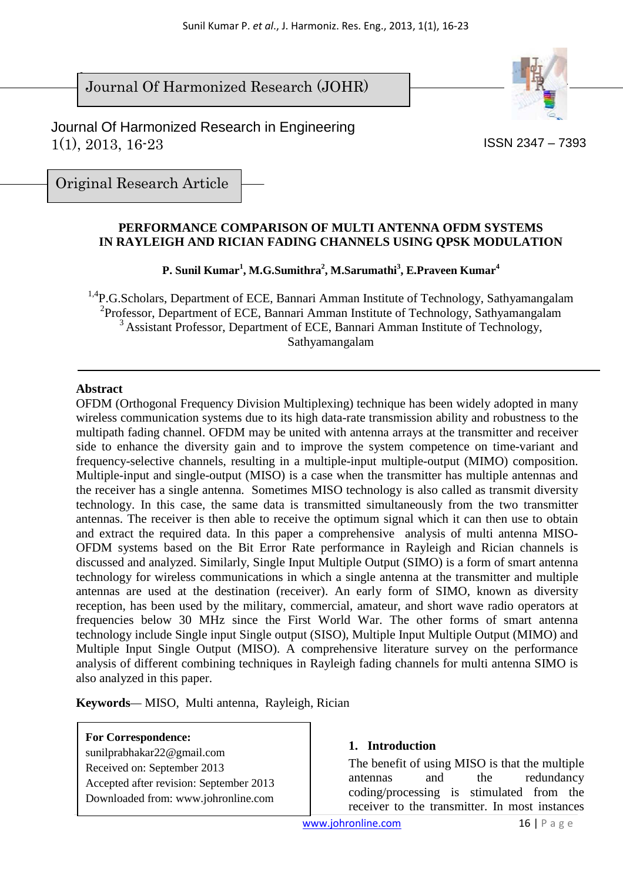$\overline{\phantom{a}}$ Journal Of Harmonized Research (JOHR)



 Journal Of Harmonized Research in Engineering 1(1), 2013, 16-23

ISSN 2347 – 7393

Original Research Article

#### **PERFORMANCE COMPARISON OF MULTI ANTENNA OFDM SYSTEMS IN RAYLEIGH AND RICIAN FADING CHANNELS USING QPSK MODULATION**

**P. Sunil Kumar<sup>1</sup> , M.G.Sumithra<sup>2</sup> , M.Sarumathi<sup>3</sup> , E.Praveen Kumar<sup>4</sup>**

<sup>1,4</sup>P.G.Scholars, Department of ECE, Bannari Amman Institute of Technology, Sathyamangalam 2 Professor, Department of ECE, Bannari Amman Institute of Technology, Sathyamangalam <sup>3</sup> Assistant Professor, Department of ECE, Bannari Amman Institute of Technology, Sathyamangalam

#### **Abstract**

OFDM (Orthogonal Frequency Division Multiplexing) technique has been widely adopted in many wireless communication systems due to its high data-rate transmission ability and robustness to the multipath fading channel. OFDM may be united with antenna arrays at the transmitter and receiver side to enhance the diversity gain and to improve the system competence on time-variant and frequency-selective channels, resulting in a multiple-input multiple-output (MIMO) composition. Multiple-input and single-output (MISO) is a case when the transmitter has multiple antennas and the receiver has a single antenna. Sometimes MISO technology is also called as transmit diversity technology. In this case, the same data is transmitted simultaneously from the two transmitter antennas. The receiver is then able to receive the optimum signal which it can then use to obtain and extract the required data. In this paper a comprehensive analysis of multi antenna MISO-OFDM systems based on the Bit Error Rate performance in Rayleigh and Rician channels is discussed and analyzed. Similarly, Single Input Multiple Output (SIMO) is a form of smart antenna technology for wireless communications in which a single antenna at the transmitter and multiple antennas are used at the destination (receiver). An early form of SIMO, known as diversity reception, has been used by the military, commercial, amateur, and short wave radio operators at frequencies below 30 MHz since the First World War. The other forms of smart antenna technology include Single input Single output (SISO), Multiple Input Multiple Output (MIMO) and Multiple Input Single Output (MISO). A comprehensive literature survey on the performance analysis of different combining techniques in Rayleigh fading channels for multi antenna SIMO is also analyzed in this paper.

**Keywords***—* MISO, Multi antenna, Rayleigh, Rician

#### **For Correspondence:**

sunilprabhakar22@gmail.com Received on: September 2013 Accepted after revision: September 2013 Downloaded from: www.johronline.com

#### **1. Introduction**

The benefit of using MISO is that the multiple antennas and the redundancy coding/processing is stimulated from the receiver to the transmitter. In most instances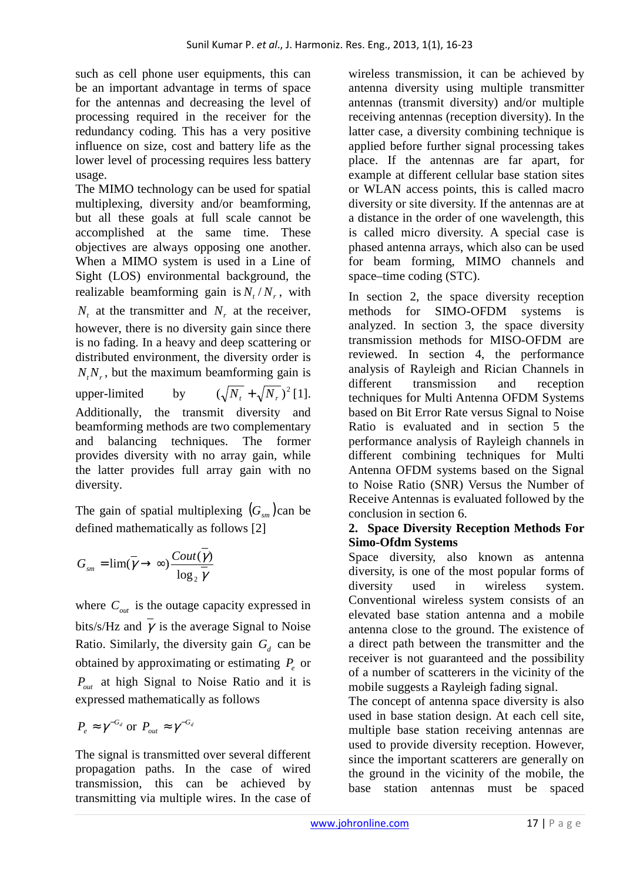such as cell phone user equipments, this can be an important advantage in terms of space for the antennas and decreasing the level of processing required in the receiver for the redundancy coding. This has a very positive influence on size, cost and battery life as the lower level of processing requires less battery usage.

The MIMO technology can be used for spatial multiplexing, diversity and/or beamforming, but all these goals at full scale cannot be accomplished at the same time. These objectives are always opposing one another. When a MIMO system is used in a Line of Sight (LOS) environmental background, the realizable beamforming gain is  $N_t/N_r$ , with  $N_t$  at the transmitter and  $N_r$  at the receiver, however, there is no diversity gain since there is no fading. In a heavy and deep scattering or distributed environment, the diversity order is  $N_t N_r$ , but the maximum beamforming gain is upper-limited by  $(\sqrt{N_t} + \sqrt{N_r})^2$  [1]. Additionally, the transmit diversity and beamforming methods are two complementary and balancing techniques. The former provides diversity with no array gain, while the latter provides full array gain with no diversity.

The gain of spatial multiplexing  $(G<sub>sm</sub>)$  can be defined mathematically as follows [2]

$$
G_{\scriptscriptstyle sm} = \lim(\overline{\gamma} \to \infty) \frac{\text{Cout}(\overline{\gamma})}{\log_2 \overline{\gamma}}
$$

where  $C_{out}$  is the outage capacity expressed in bits/s/Hz and  $\bar{\gamma}$  is the average Signal to Noise Ratio. Similarly, the diversity gain  $G_d$  can be obtained by approximating or estimating *P<sup>e</sup>* or *Pout* at high Signal to Noise Ratio and it is expressed mathematically as follows

$$
P_e \approx \gamma^{-G_d} \text{ or } P_{out} \approx \gamma^{-G_d}
$$

The signal is transmitted over several different propagation paths. In the case of wired transmission, this can be achieved by transmitting via multiple wires. In the case of

wireless transmission, it can be achieved by antenna diversity using multiple transmitter antennas (transmit diversity) and/or multiple receiving antennas (reception diversity). In the latter case, a diversity combining technique is applied before further signal processing takes place. If the antennas are far apart, for example at different cellular base station sites or WLAN access points, this is called macro diversity or site diversity. If the antennas are at a distance in the order of one wavelength, this is called micro diversity. A special case is phased antenna arrays, which also can be used for beam forming, MIMO channels and space–time coding (STC).

In section 2, the space diversity reception methods for SIMO-OFDM systems is analyzed. In section 3, the space diversity transmission methods for MISO-OFDM are reviewed. In section 4, the performance analysis of Rayleigh and Rician Channels in different transmission and reception techniques for Multi Antenna OFDM Systems based on Bit Error Rate versus Signal to Noise Ratio is evaluated and in section 5 the performance analysis of Rayleigh channels in different combining techniques for Multi Antenna OFDM systems based on the Signal to Noise Ratio (SNR) Versus the Number of Receive Antennas is evaluated followed by the conclusion in section 6.

#### **2. Space Diversity Reception Methods For Simo-Ofdm Systems**

Space diversity, also known as antenna diversity, is one of the most popular forms of diversity used in wireless system. Conventional wireless system consists of an elevated base station antenna and a mobile antenna close to the ground. The existence of a direct path between the transmitter and the receiver is not guaranteed and the possibility of a number of scatterers in the vicinity of the mobile suggests a Rayleigh fading signal.

The concept of antenna space diversity is also used in base station design. At each cell site, multiple base station receiving antennas are used to provide diversity reception. However, since the important scatterers are generally on the ground in the vicinity of the mobile, the base station antennas must be spaced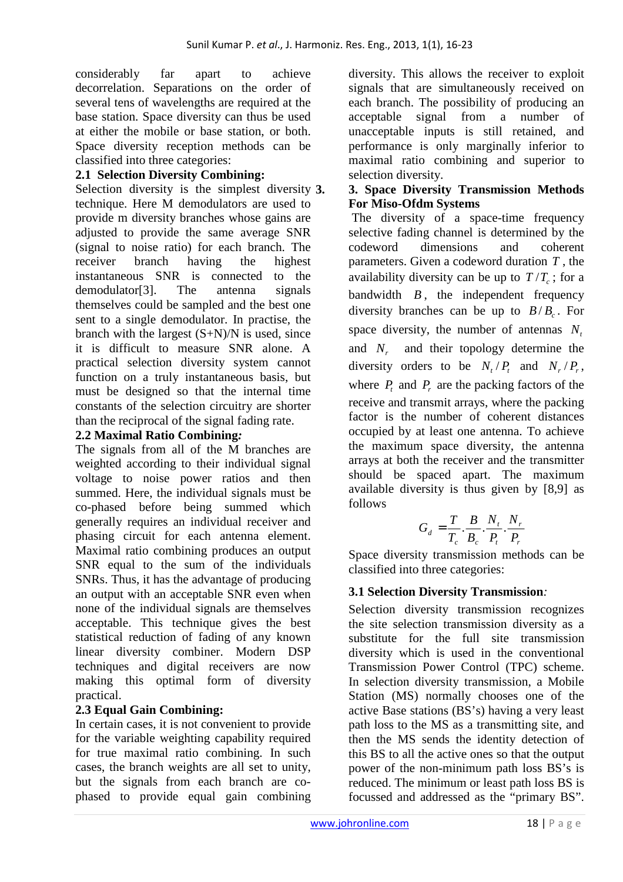considerably far apart to achieve decorrelation. Separations on the order of several tens of wavelengths are required at the base station. Space diversity can thus be used at either the mobile or base station, or both. Space diversity reception methods can be classified into three categories:

### **2.1 Selection Diversity Combining:**

Selection diversity is the simplest diversity 3. technique. Here M demodulators are used to provide m diversity branches whose gains are adjusted to provide the same average SNR (signal to noise ratio) for each branch. The receiver branch having the highest instantaneous SNR is connected to the demodulator[3]. The antenna signals themselves could be sampled and the best one sent to a single demodulator. In practise, the branch with the largest  $(S+N)/N$  is used, since it is difficult to measure SNR alone. A practical selection diversity system cannot function on a truly instantaneous basis, but must be designed so that the internal time constants of the selection circuitry are shorter than the reciprocal of the signal fading rate.

### **2.2 Maximal Ratio Combining***:*

The signals from all of the M branches are weighted according to their individual signal voltage to noise power ratios and then summed. Here, the individual signals must be co-phased before being summed which generally requires an individual receiver and phasing circuit for each antenna element. Maximal ratio combining produces an output SNR equal to the sum of the individuals SNRs. Thus, it has the advantage of producing an output with an acceptable SNR even when none of the individual signals are themselves acceptable. This technique gives the best statistical reduction of fading of any known linear diversity combiner. Modern DSP techniques and digital receivers are now making this optimal form of diversity practical.

# **2.3 Equal Gain Combining:**

In certain cases, it is not convenient to provide for the variable weighting capability required for true maximal ratio combining. In such cases, the branch weights are all set to unity, but the signals from each branch are cophased to provide equal gain combining

diversity. This allows the receiver to exploit signals that are simultaneously received on each branch. The possibility of producing an acceptable signal from a number of unacceptable inputs is still retained, and performance is only marginally inferior to maximal ratio combining and superior to selection diversity.

### **3. 3. Space Diversity Transmission Methods For Miso-Ofdm Systems**

 The diversity of a space-time frequency selective fading channel is determined by the codeword dimensions and coherent parameters. Given a codeword duration *T* , the availability diversity can be up to  $T/T_c$ ; for a bandwidth  $B$ , the independent frequency diversity branches can be up to  $B/B_c$ . For space diversity, the number of antennas *N<sup>t</sup>* and  $N$  and their topology determine the diversity orders to be  $N_t/P_t$  and  $N_r/P_r$ , where  $P_t$  and  $P_r$  are the packing factors of the receive and transmit arrays, where the packing factor is the number of coherent distances occupied by at least one antenna. To achieve the maximum space diversity, the antenna arrays at both the receiver and the transmitter should be spaced apart. The maximum available diversity is thus given by [8,9] as follows

$$
G_d = \frac{T}{T_c} \cdot \frac{B}{B_c} \cdot \frac{N_t}{P_t} \cdot \frac{N_r}{P_r}
$$

Space diversity transmission methods can be classified into three categories:

# **3.1 Selection Diversity Transmission***:*

Selection diversity transmission recognizes the site selection transmission diversity as a substitute for the full site transmission diversity which is used in the conventional Transmission Power Control (TPC) scheme. In selection diversity transmission, a Mobile Station (MS) normally chooses one of the active Base stations (BS's) having a very least path loss to the MS as a transmitting site, and then the MS sends the identity detection of this BS to all the active ones so that the output power of the non-minimum path loss BS's is reduced. The minimum or least path loss BS is focussed and addressed as the "primary BS".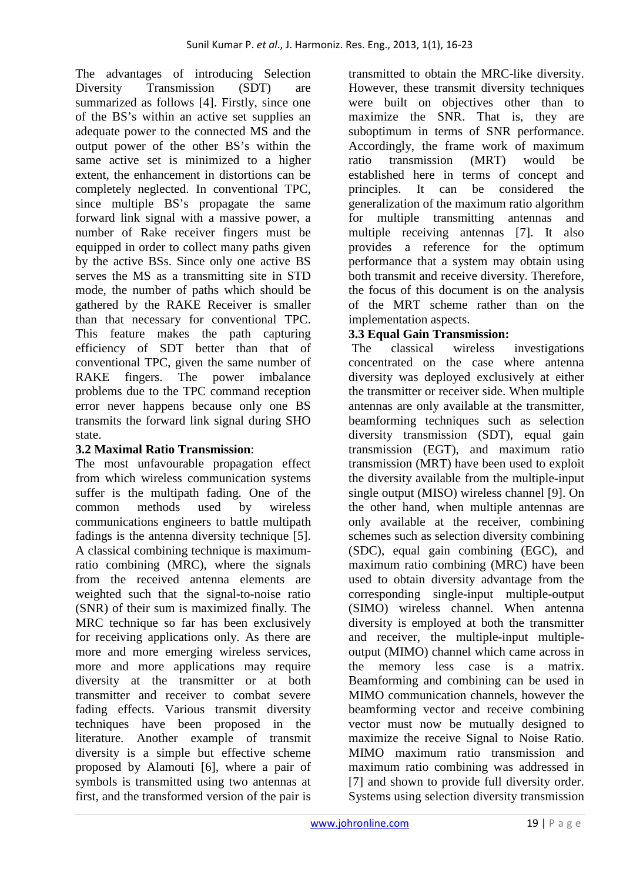The advantages of introducing Selection Diversity Transmission (SDT) are summarized as follows [4]. Firstly, since one of the BS's within an active set supplies an adequate power to the connected MS and the output power of the other BS's within the same active set is minimized to a higher extent, the enhancement in distortions can be completely neglected. In conventional TPC, since multiple BS's propagate the same forward link signal with a massive power, a number of Rake receiver fingers must be equipped in order to collect many paths given by the active BSs. Since only one active BS serves the MS as a transmitting site in STD mode, the number of paths which should be gathered by the RAKE Receiver is smaller than that necessary for conventional TPC. This feature makes the path capturing efficiency of SDT better than that of conventional TPC, given the same number of RAKE fingers. The power imbalance problems due to the TPC command reception error never happens because only one BS transmits the forward link signal during SHO state.

# **3.2 Maximal Ratio Transmission**:

The most unfavourable propagation effect from which wireless communication systems suffer is the multipath fading. One of the common methods used by wireless communications engineers to battle multipath fadings is the antenna diversity technique [5]. A classical combining technique is maximumratio combining (MRC), where the signals from the received antenna elements are weighted such that the signal-to-noise ratio (SNR) of their sum is maximized finally. The MRC technique so far has been exclusively for receiving applications only. As there are more and more emerging wireless services, more and more applications may require diversity at the transmitter or at both transmitter and receiver to combat severe fading effects. Various transmit diversity techniques have been proposed in the literature. Another example of transmit diversity is a simple but effective scheme proposed by Alamouti [6], where a pair of symbols is transmitted using two antennas at first, and the transformed version of the pair is

transmitted to obtain the MRC-like diversity. However, these transmit diversity techniques were built on objectives other than to maximize the SNR. That is, they are suboptimum in terms of SNR performance. Accordingly, the frame work of maximum ratio transmission (MRT) would be established here in terms of concept and principles. It can be considered the generalization of the maximum ratio algorithm for multiple transmitting antennas and multiple receiving antennas [7]. It also provides a reference for the optimum performance that a system may obtain using both transmit and receive diversity. Therefore, the focus of this document is on the analysis of the MRT scheme rather than on the implementation aspects.

# **3.3 Equal Gain Transmission:**

 The classical wireless investigations concentrated on the case where antenna diversity was deployed exclusively at either the transmitter or receiver side. When multiple antennas are only available at the transmitter, beamforming techniques such as selection diversity transmission (SDT), equal gain transmission (EGT), and maximum ratio transmission (MRT) have been used to exploit the diversity available from the multiple-input single output (MISO) wireless channel [9]. On the other hand, when multiple antennas are only available at the receiver, combining schemes such as selection diversity combining (SDC), equal gain combining (EGC), and maximum ratio combining (MRC) have been used to obtain diversity advantage from the corresponding single-input multiple-output (SIMO) wireless channel. When antenna diversity is employed at both the transmitter and receiver, the multiple-input multipleoutput (MIMO) channel which came across in the memory less case is a matrix. Beamforming and combining can be used in MIMO communication channels, however the beamforming vector and receive combining vector must now be mutually designed to maximize the receive Signal to Noise Ratio. MIMO maximum ratio transmission and maximum ratio combining was addressed in [7] and shown to provide full diversity order. Systems using selection diversity transmission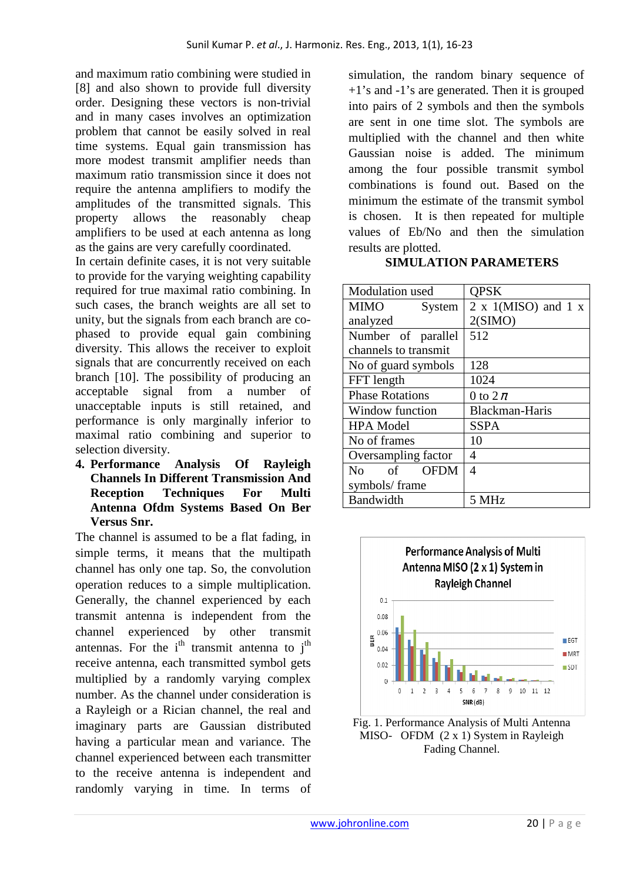and maximum ratio combining were studied in [8] and also shown to provide full diversity order. Designing these vectors is non-trivial and in many cases involves an optimization problem that cannot be easily solved in real time systems. Equal gain transmission has more modest transmit amplifier needs than maximum ratio transmission since it does not require the antenna amplifiers to modify the amplitudes of the transmitted signals. This property allows the reasonably cheap amplifiers to be used at each antenna as long as the gains are very carefully coordinated.

In certain definite cases, it is not very suitable to provide for the varying weighting capability required for true maximal ratio combining. In such cases, the branch weights are all set to unity, but the signals from each branch are cophased to provide equal gain combining diversity. This allows the receiver to exploit signals that are concurrently received on each branch [10]. The possibility of producing an acceptable signal from a number of unacceptable inputs is still retained, and performance is only marginally inferior to maximal ratio combining and superior to selection diversity.

**4. Performance Analysis Of Rayleigh Channels In Different Transmission And Reception Techniques For Multi Antenna Ofdm Systems Based On Ber Versus Snr.** 

The channel is assumed to be a flat fading, in simple terms, it means that the multipath channel has only one tap. So, the convolution operation reduces to a simple multiplication. Generally, the channel experienced by each transmit antenna is independent from the channel experienced by other transmit antennas. For the  $i<sup>th</sup>$  transmit antenna to  $i<sup>th</sup>$ receive antenna, each transmitted symbol gets multiplied by a randomly varying complex number. As the channel under consideration is a Rayleigh or a Rician channel, the real and imaginary parts are Gaussian distributed having a particular mean and variance. The channel experienced between each transmitter to the receive antenna is independent and randomly varying in time. In terms of

simulation, the random binary sequence of +1's and -1's are generated. Then it is grouped into pairs of 2 symbols and then the symbols are sent in one time slot. The symbols are multiplied with the channel and then white Gaussian noise is added. The minimum among the four possible transmit symbol combinations is found out. Based on the minimum the estimate of the transmit symbol is chosen. It is then repeated for multiple values of Eb/No and then the simulation results are plotted.

#### **SIMULATION PARAMETERS**

| Modulation used                           | <b>QPSK</b>                       |
|-------------------------------------------|-----------------------------------|
| MIMO<br>System                            | $2 \times 1(MISO)$ and $1 \times$ |
| analyzed                                  | 2(SIMO)                           |
| Number of parallel                        | 512                               |
| channels to transmit                      |                                   |
| No of guard symbols                       | 128                               |
| FFT length                                | 1024                              |
| <b>Phase Rotations</b>                    | 0 to $2\pi$                       |
| Window function                           | <b>Blackman-Haris</b>             |
| <b>HPA Model</b>                          | <b>SSPA</b>                       |
| No of frames                              | 10                                |
| Oversampling factor                       | 4                                 |
| $\circ$ of<br><b>OFDM</b><br>$N_{\Omega}$ | 4                                 |
| symbols/frame                             |                                   |
| Bandwidth                                 | 5 MHz                             |



Fig. 1. Performance Analysis of Multi Antenna MISO- OFDM (2 x 1) System in Rayleigh Fading Channel.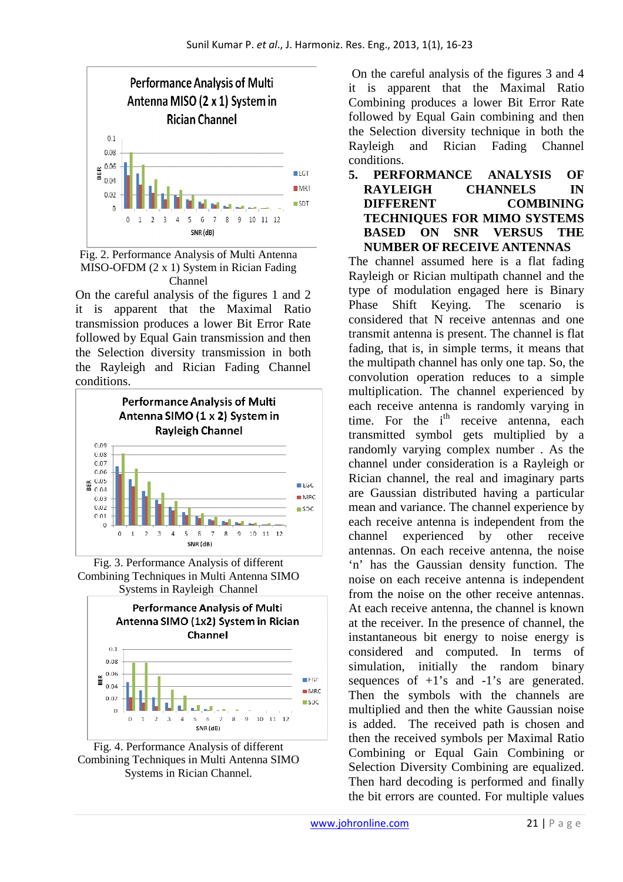

Fig. 2. Performance Analysis of Multi Antenna MISO-OFDM (2 x 1) System in Rician Fading Channel

On the careful analysis of the figures 1 and 2 it is apparent that the Maximal Ratio transmission produces a lower Bit Error Rate followed by Equal Gain transmission and then the Selection diversity transmission in both the Rayleigh and Rician Fading Channel conditions.



Fig. 3. Performance Analysis of different Combining Techniques in Multi Antenna SIMO Systems in Rayleigh Channel



Fig. 4. Performance Analysis of different Combining Techniques in Multi Antenna SIMO Systems in Rician Channel.

 On the careful analysis of the figures 3 and 4 it is apparent that the Maximal Ratio Combining produces a lower Bit Error Rate followed by Equal Gain combining and then the Selection diversity technique in both the Rayleigh and Rician Fading Channel conditions.

**5. PERFORMANCE ANALYSIS OF RAYLEIGH CHANNELS IN DIFFERENT COMBINING TECHNIQUES FOR MIMO SYSTEMS BASED ON SNR VERSUS THE NUMBER OF RECEIVE ANTENNAS** 

The channel assumed here is a flat fading Rayleigh or Rician multipath channel and the type of modulation engaged here is Binary Phase Shift Keying. The scenario is considered that N receive antennas and one transmit antenna is present. The channel is flat fading, that is, in simple terms, it means that the multipath channel has only one tap. So, the convolution operation reduces to a simple multiplication. The channel experienced by each receive antenna is randomly varying in time. For the  $i<sup>th</sup>$  receive antenna, each transmitted symbol gets multiplied by a randomly varying complex number . As the channel under consideration is a Rayleigh or Rician channel, the real and imaginary parts are Gaussian distributed having a particular mean and variance. The channel experience by each receive antenna is independent from the channel experienced by other receive antennas. On each receive antenna, the noise 'n' has the Gaussian density function. The noise on each receive antenna is independent from the noise on the other receive antennas. At each receive antenna, the channel is known at the receiver. In the presence of channel, the instantaneous bit energy to noise energy is considered and computed. In terms of simulation, initially the random binary sequences of  $+1$ 's and  $-1$ 's are generated. Then the symbols with the channels are multiplied and then the white Gaussian noise is added. The received path is chosen and then the received symbols per Maximal Ratio Combining or Equal Gain Combining or Selection Diversity Combining are equalized. Then hard decoding is performed and finally the bit errors are counted. For multiple values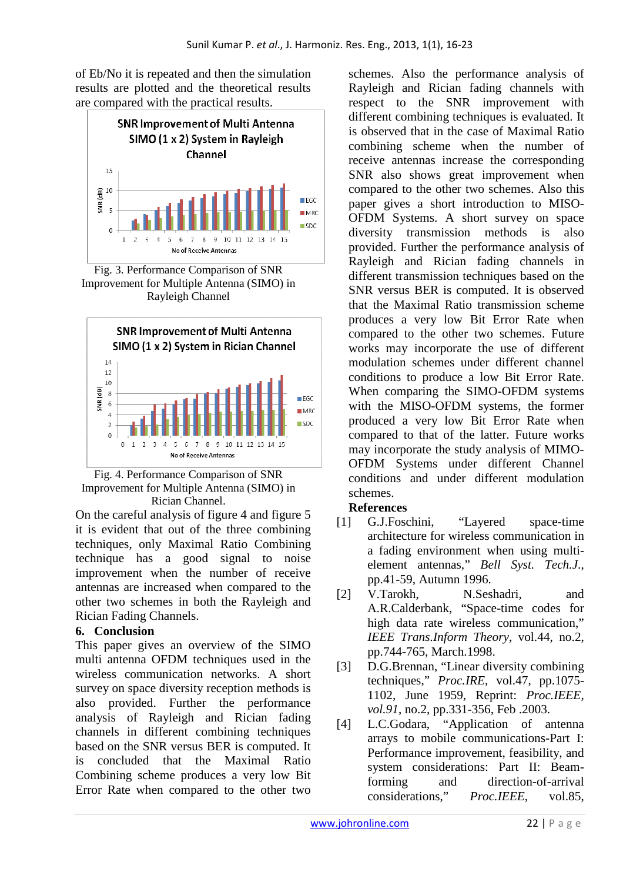of Eb/No it is repeated and then the simulation results are plotted and the theoretical results are compared with the practical results.



Fig. 3. Performance Comparison of SNR Improvement for Multiple Antenna (SIMO) in Rayleigh Channel





On the careful analysis of figure 4 and figure 5 it is evident that out of the three combining techniques, only Maximal Ratio Combining technique has a good signal to noise improvement when the number of receive antennas are increased when compared to the other two schemes in both the Rayleigh and Rician Fading Channels.

# **6. Conclusion**

This paper gives an overview of the SIMO multi antenna OFDM techniques used in the wireless communication networks. A short survey on space diversity reception methods is also provided. Further the performance analysis of Rayleigh and Rician fading channels in different combining techniques based on the SNR versus BER is computed. It is concluded that the Maximal Ratio Combining scheme produces a very low Bit Error Rate when compared to the other two

schemes. Also the performance analysis of Rayleigh and Rician fading channels with respect to the SNR improvement with different combining techniques is evaluated. It is observed that in the case of Maximal Ratio combining scheme when the number of receive antennas increase the corresponding SNR also shows great improvement when compared to the other two schemes. Also this paper gives a short introduction to MISO-OFDM Systems. A short survey on space diversity transmission methods is also provided. Further the performance analysis of Rayleigh and Rician fading channels in different transmission techniques based on the SNR versus BER is computed. It is observed that the Maximal Ratio transmission scheme produces a very low Bit Error Rate when compared to the other two schemes. Future works may incorporate the use of different modulation schemes under different channel conditions to produce a low Bit Error Rate. When comparing the SIMO-OFDM systems with the MISO-OFDM systems, the former produced a very low Bit Error Rate when compared to that of the latter. Future works may incorporate the study analysis of MIMO-OFDM Systems under different Channel conditions and under different modulation schemes.

#### **References**

- [1] G.J.Foschini, "Layered space-time architecture for wireless communication in a fading environment when using multielement antennas," *Bell Syst. Tech.J*., pp.41-59, Autumn 1996.
- [2] V.Tarokh, N.Seshadri, and A.R.Calderbank, "Space-time codes for high data rate wireless communication," *IEEE Trans.Inform Theory*, vol.44, no.2, pp.744-765, March.1998.
- [3] D.G.Brennan, "Linear diversity combining techniques," *Proc.IRE*, vol.47, pp.1075- 1102, June 1959, Reprint: *Proc.IEEE, vol.91*, no.2, pp.331-356, Feb .2003.
- [4] L.C.Godara, "Application of antenna arrays to mobile communications-Part I: Performance improvement, feasibility, and system considerations: Part II: Beamforming and direction-of-arrival considerations," *Proc.IEEE*, vol.85,